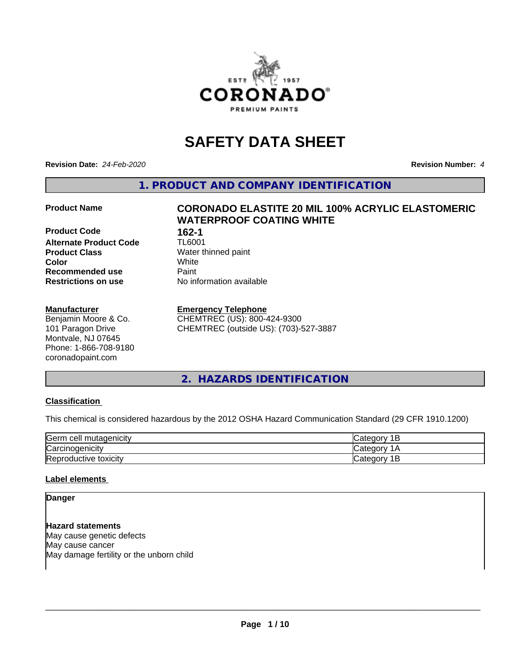

# **SAFETY DATA SHEET**

**Revision Date:** *24-Feb-2020* **Revision Number:** *4*

**1. PRODUCT AND COMPANY IDENTIFICATION**

**Product Code 162-1<br>
<b>Alternate Product Code** TL6001 **Alternate Product Code Product Class** Water thinned paint<br> **Color** White **Color** White **Recommended use Caint Restrictions on use** No information available

## **Manufacturer**

Benjamin Moore & Co. 101 Paragon Drive Montvale, NJ 07645 Phone: 1-866-708-9180 coronadopaint.com

## **Product Name CORONADO ELASTITE 20 MIL 100% ACRYLIC ELASTOMERIC WATERPROOF COATING WHITE**

## **Emergency Telephone**

CHEMTREC (US): 800-424-9300 CHEMTREC (outside US): (703)-527-3887

## **2. HAZARDS IDENTIFICATION**

## **Classification**

This chemical is considered hazardous by the 2012 OSHA Hazard Communication Standard (29 CFR 1910.1200)

| <b>Germ</b><br>ı cell mutaqenicitv | ∵ategor<br>-    |
|------------------------------------|-----------------|
| ∽<br>Carcinogenicity               | ategor: ت       |
| Reproductive toxicity              | ategorٽ (<br>ــ |

## **Label elements**

**Danger**

**Hazard statements** May cause genetic defects May cause cancer May damage fertility or the unborn child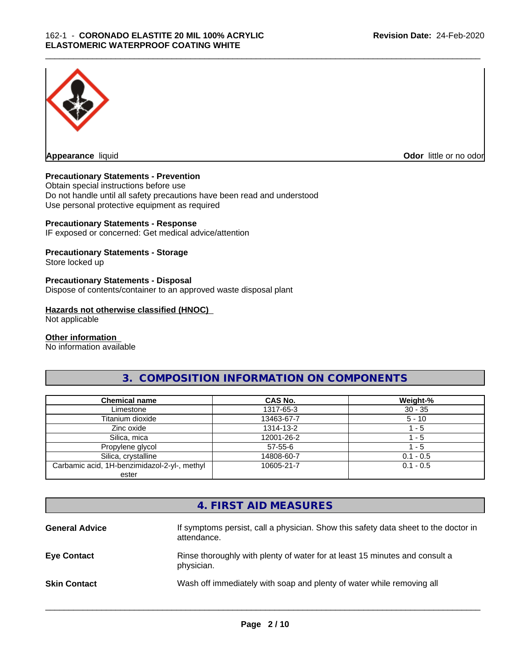

**Appearance** liquid **Odor in the original of the original of the original of the original of the original of the original of the original of the original of the original of the original of the original of the original of t** 

## **Precautionary Statements - Prevention**

Obtain special instructions before use Do not handle until all safety precautions have been read and understood Use personal protective equipment as required

## **Precautionary Statements - Response**

IF exposed or concerned: Get medical advice/attention

## **Precautionary Statements - Storage**

Store locked up

#### **Precautionary Statements - Disposal**

Dispose of contents/container to an approved waste disposal plant

#### **Hazards not otherwise classified (HNOC)**

Not applicable

#### **Other information**

No information available

## **3. COMPOSITION INFORMATION ON COMPONENTS**

| <b>Chemical name</b>                         | CAS No.       | Weight-%    |
|----------------------------------------------|---------------|-------------|
| Limestone                                    | 1317-65-3     | $30 - 35$   |
| Titanium dioxide                             | 13463-67-7    | $5 - 10$    |
| Zinc oxide                                   | 1314-13-2     | $-5$        |
| Silica, mica                                 | 12001-26-2    | $-5$        |
| Propylene glycol                             | $57 - 55 - 6$ | - 5         |
| Silica, crystalline                          | 14808-60-7    | $0.1 - 0.5$ |
| Carbamic acid, 1H-benzimidazol-2-yl-, methyl | 10605-21-7    | $0.1 - 0.5$ |
| ester                                        |               |             |

## **4. FIRST AID MEASURES**

| <b>General Advice</b> | If symptoms persist, call a physician. Show this safety data sheet to the doctor in<br>attendance. |
|-----------------------|----------------------------------------------------------------------------------------------------|
| <b>Eye Contact</b>    | Rinse thoroughly with plenty of water for at least 15 minutes and consult a<br>physician.          |
| <b>Skin Contact</b>   | Wash off immediately with soap and plenty of water while removing all                              |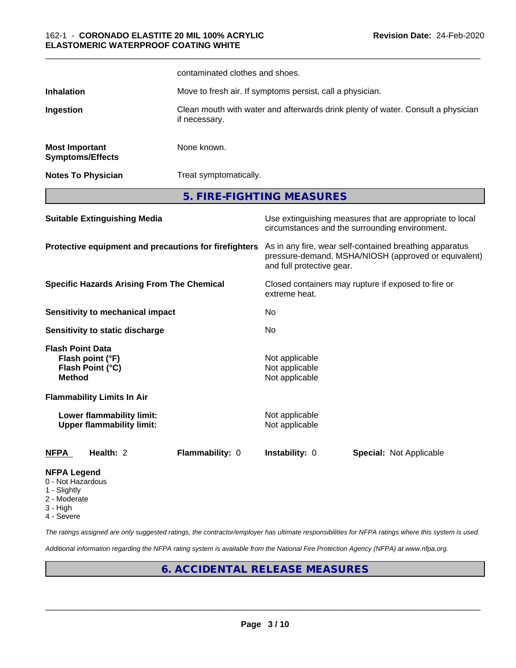|                                                                         |                                                               | contaminated clothes and shoes.                           |                                                    |                                                                                                                 |
|-------------------------------------------------------------------------|---------------------------------------------------------------|-----------------------------------------------------------|----------------------------------------------------|-----------------------------------------------------------------------------------------------------------------|
| <b>Inhalation</b>                                                       |                                                               | Move to fresh air. If symptoms persist, call a physician. |                                                    |                                                                                                                 |
| Ingestion                                                               |                                                               | if necessary.                                             |                                                    | Clean mouth with water and afterwards drink plenty of water. Consult a physician                                |
| <b>Most Important</b>                                                   | <b>Symptoms/Effects</b>                                       | None known.                                               |                                                    |                                                                                                                 |
|                                                                         | <b>Notes To Physician</b>                                     | Treat symptomatically.                                    |                                                    |                                                                                                                 |
|                                                                         |                                                               |                                                           | 5. FIRE-FIGHTING MEASURES                          |                                                                                                                 |
|                                                                         | <b>Suitable Extinguishing Media</b>                           |                                                           |                                                    | Use extinguishing measures that are appropriate to local<br>circumstances and the surrounding environment.      |
|                                                                         |                                                               | Protective equipment and precautions for firefighters     | and full protective gear.                          | As in any fire, wear self-contained breathing apparatus<br>pressure-demand, MSHA/NIOSH (approved or equivalent) |
|                                                                         | <b>Specific Hazards Arising From The Chemical</b>             |                                                           | extreme heat.                                      | Closed containers may rupture if exposed to fire or                                                             |
|                                                                         | <b>Sensitivity to mechanical impact</b>                       |                                                           | <b>No</b>                                          |                                                                                                                 |
|                                                                         | Sensitivity to static discharge                               |                                                           | No                                                 |                                                                                                                 |
| <b>Flash Point Data</b><br><b>Method</b>                                | Flash point (°F)<br>Flash Point (°C)                          |                                                           | Not applicable<br>Not applicable<br>Not applicable |                                                                                                                 |
|                                                                         | <b>Flammability Limits In Air</b>                             |                                                           |                                                    |                                                                                                                 |
|                                                                         | Lower flammability limit:<br><b>Upper flammability limit:</b> |                                                           | Not applicable<br>Not applicable                   |                                                                                                                 |
| <b>NFPA</b>                                                             | Health: 2                                                     | Flammability: 0                                           | Instability: 0                                     | <b>Special: Not Applicable</b>                                                                                  |
| <b>NFPA Legend</b><br>0 - Not Hazardous<br>1 - Slightly<br>2 - Moderate |                                                               |                                                           |                                                    |                                                                                                                 |

\_\_\_\_\_\_\_\_\_\_\_\_\_\_\_\_\_\_\_\_\_\_\_\_\_\_\_\_\_\_\_\_\_\_\_\_\_\_\_\_\_\_\_\_\_\_\_\_\_\_\_\_\_\_\_\_\_\_\_\_\_\_\_\_\_\_\_\_\_\_\_\_\_\_\_\_\_\_\_\_\_\_\_\_\_\_\_\_\_\_\_\_\_

- 
- 3 High
- 4 Severe

*The ratings assigned are only suggested ratings, the contractor/employer has ultimate responsibilities for NFPA ratings where this system is used.*

*Additional information regarding the NFPA rating system is available from the National Fire Protection Agency (NFPA) at www.nfpa.org.*

## **6. ACCIDENTAL RELEASE MEASURES**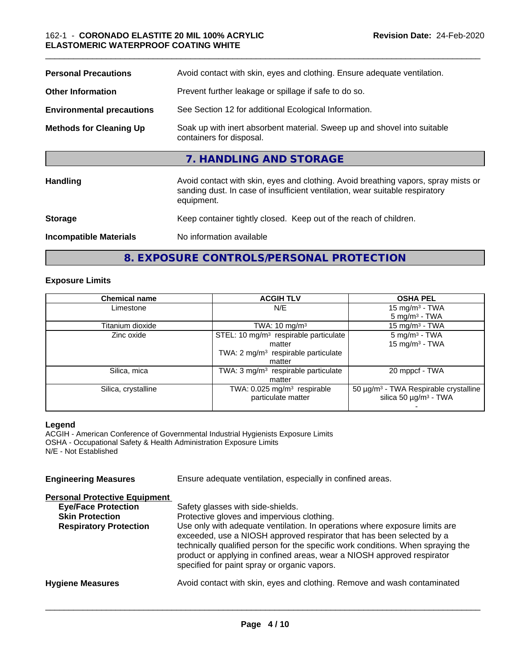| <b>Personal Precautions</b>      | Avoid contact with skin, eyes and clothing. Ensure adequate ventilation.                                                                                                         |
|----------------------------------|----------------------------------------------------------------------------------------------------------------------------------------------------------------------------------|
| <b>Other Information</b>         | Prevent further leakage or spillage if safe to do so.                                                                                                                            |
| <b>Environmental precautions</b> | See Section 12 for additional Ecological Information.                                                                                                                            |
| <b>Methods for Cleaning Up</b>   | Soak up with inert absorbent material. Sweep up and shovel into suitable<br>containers for disposal.                                                                             |
|                                  | 7. HANDLING AND STORAGE                                                                                                                                                          |
| <b>Handling</b>                  | Avoid contact with skin, eyes and clothing. Avoid breathing vapors, spray mists or<br>sanding dust. In case of insufficient ventilation, wear suitable respiratory<br>equipment. |
| <b>Storage</b>                   | Keep container tightly closed. Keep out of the reach of children.                                                                                                                |
| <b>Incompatible Materials</b>    | No information available                                                                                                                                                         |

**8. EXPOSURE CONTROLS/PERSONAL PROTECTION**

## **Exposure Limits**

| <b>Chemical name</b><br><b>ACGIH TLV</b> |                                                   | <b>OSHA PEL</b>                                   |
|------------------------------------------|---------------------------------------------------|---------------------------------------------------|
| Limestone                                | N/E                                               | 15 mg/m <sup>3</sup> - TWA                        |
|                                          |                                                   | $5 \text{ mg/m}^3$ - TWA                          |
| Titanium dioxide                         | TWA: $10 \text{ mg/m}^3$                          | 15 mg/m <sup>3</sup> - TWA                        |
| Zinc oxide                               | STEL: 10 mg/m <sup>3</sup> respirable particulate | $5 \text{ mg/m}^3$ - TWA                          |
|                                          | matter                                            | 15 mg/m <sup>3</sup> - TWA                        |
|                                          | TWA: $2 \text{ mg/m}^3$ respirable particulate    |                                                   |
|                                          | matter                                            |                                                   |
| Silica, mica                             | TWA: $3 \text{ mg/m}^3$ respirable particulate    | 20 mppcf - TWA                                    |
|                                          | matter                                            |                                                   |
| Silica, crystalline                      | TWA: 0.025 mg/m <sup>3</sup> respirable           | 50 µg/m <sup>3</sup> - TWA Respirable crystalline |
|                                          | particulate matter                                | silica 50 $\mu$ g/m <sup>3</sup> - TWA            |
|                                          |                                                   |                                                   |

## **Legend**

ACGIH - American Conference of Governmental Industrial Hygienists Exposure Limits OSHA - Occupational Safety & Health Administration Exposure Limits N/E - Not Established

**Engineering Measures** Ensure adequate ventilation, especially in confined areas.

## **Personal Protective Equipment**

| <b>Eye/Face Protection</b>    | Safety glasses with side-shields.                                                                                                                                                                                                                                                                                                                                   |
|-------------------------------|---------------------------------------------------------------------------------------------------------------------------------------------------------------------------------------------------------------------------------------------------------------------------------------------------------------------------------------------------------------------|
| <b>Skin Protection</b>        | Protective gloves and impervious clothing.                                                                                                                                                                                                                                                                                                                          |
| <b>Respiratory Protection</b> | Use only with adequate ventilation. In operations where exposure limits are<br>exceeded, use a NIOSH approved respirator that has been selected by a<br>technically qualified person for the specific work conditions. When spraying the<br>product or applying in confined areas, wear a NIOSH approved respirator<br>specified for paint spray or organic vapors. |
| <b>Hygiene Measures</b>       | Avoid contact with skin, eyes and clothing. Remove and wash contaminated                                                                                                                                                                                                                                                                                            |
|                               |                                                                                                                                                                                                                                                                                                                                                                     |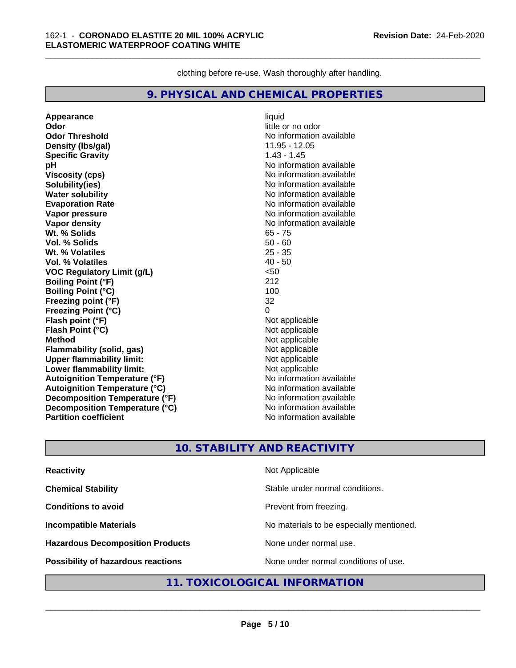clothing before re-use. Wash thoroughly after handling.

\_\_\_\_\_\_\_\_\_\_\_\_\_\_\_\_\_\_\_\_\_\_\_\_\_\_\_\_\_\_\_\_\_\_\_\_\_\_\_\_\_\_\_\_\_\_\_\_\_\_\_\_\_\_\_\_\_\_\_\_\_\_\_\_\_\_\_\_\_\_\_\_\_\_\_\_\_\_\_\_\_\_\_\_\_\_\_\_\_\_\_\_\_

## **9. PHYSICAL AND CHEMICAL PROPERTIES**

**Appearance** liquid **Odor** little or no odor **Odor Threshold** No information available **Density (Ibs/gal)** 11.95 - 12.05<br> **Specific Gravity** 1.43 - 1.45 **Specific Gravity pH pH**  $\blacksquare$ **Viscosity (cps)** No information available **Solubility(ies)** No information available **Water solubility**<br> **Evaporation Rate**<br> **Evaporation Rate**<br> **Evaporation Rate Vapor pressure** No information available **Vapor density**<br> **We Solid Wit.** % Solids<br>
We will be a set of the Solid Solid Solid Solid Solid Solid Solid Solid Solid Solid Solid Solid Solid Solid Solid Solid Solid Solid Solid Solid Solid Solid Solid Solid Solid Solid Wt. % Solids **Vol. % Solids** 50 - 60 **Wt. % Volatiles** 25 - 35 **Vol. % Volatiles VOC Regulatory Limit (g/L)** <50 **Boiling Point (°F)** 212 **Boiling Point (°C)** 100 **Freezing point (°F)** 32 **Freezing Point (°C) Flash point (°F)**<br> **Flash Point (°C)**<br> **Flash Point (°C)**<br> **Compare Server All Alta Annual Mothematic Not applicable Flash Point (°C) Method** Not applicable **Flammability (solid, gas)** Not applicable **Upper flammability limit:**<br> **Lower flammability limit:** Not applicable Not applicable **Lower flammability limit: Autoignition Temperature (°F)** No information available **Autoignition Temperature (°C)**<br> **Decomposition Temperature (°F)** No information available **Decomposition Temperature (°F) Decomposition Temperature (°C)** No information available **Partition coefficient Community Contract Contract Contract Contract Contract Contract Contract Contract Contract Contract Contract Contract Contract Contract Contract Contract Contract Contract Contract Contract Contr** 

**Evaporation Rate** No information available

## **10. STABILITY AND REACTIVITY**

| <b>Reactivity</b>                       | Not Applicable                           |
|-----------------------------------------|------------------------------------------|
| <b>Chemical Stability</b>               | Stable under normal conditions.          |
| <b>Conditions to avoid</b>              | Prevent from freezing.                   |
| <b>Incompatible Materials</b>           | No materials to be especially mentioned. |
| <b>Hazardous Decomposition Products</b> | None under normal use.                   |
| Possibility of hazardous reactions      | None under normal conditions of use.     |

## **11. TOXICOLOGICAL INFORMATION**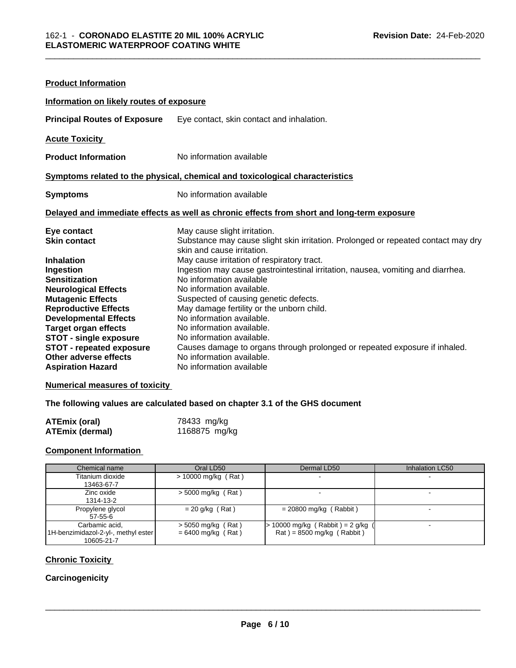| <b>Product Information</b>                                                                                                                                                                                                                                                                                                                                                     |                                                                                                                                                                                                                                                                                                                                                                                                                                                                                                                                                                                                                                                               |
|--------------------------------------------------------------------------------------------------------------------------------------------------------------------------------------------------------------------------------------------------------------------------------------------------------------------------------------------------------------------------------|---------------------------------------------------------------------------------------------------------------------------------------------------------------------------------------------------------------------------------------------------------------------------------------------------------------------------------------------------------------------------------------------------------------------------------------------------------------------------------------------------------------------------------------------------------------------------------------------------------------------------------------------------------------|
| Information on likely routes of exposure                                                                                                                                                                                                                                                                                                                                       |                                                                                                                                                                                                                                                                                                                                                                                                                                                                                                                                                                                                                                                               |
| <b>Principal Routes of Exposure</b>                                                                                                                                                                                                                                                                                                                                            | Eye contact, skin contact and inhalation.                                                                                                                                                                                                                                                                                                                                                                                                                                                                                                                                                                                                                     |
| <b>Acute Toxicity</b>                                                                                                                                                                                                                                                                                                                                                          |                                                                                                                                                                                                                                                                                                                                                                                                                                                                                                                                                                                                                                                               |
| <b>Product Information</b>                                                                                                                                                                                                                                                                                                                                                     | No information available                                                                                                                                                                                                                                                                                                                                                                                                                                                                                                                                                                                                                                      |
|                                                                                                                                                                                                                                                                                                                                                                                | Symptoms related to the physical, chemical and toxicological characteristics                                                                                                                                                                                                                                                                                                                                                                                                                                                                                                                                                                                  |
| <b>Symptoms</b>                                                                                                                                                                                                                                                                                                                                                                | No information available                                                                                                                                                                                                                                                                                                                                                                                                                                                                                                                                                                                                                                      |
|                                                                                                                                                                                                                                                                                                                                                                                | Delayed and immediate effects as well as chronic effects from short and long-term exposure                                                                                                                                                                                                                                                                                                                                                                                                                                                                                                                                                                    |
| Eye contact<br><b>Skin contact</b><br><b>Inhalation</b><br>Ingestion<br><b>Sensitization</b><br><b>Neurological Effects</b><br><b>Mutagenic Effects</b><br><b>Reproductive Effects</b><br><b>Developmental Effects</b><br><b>Target organ effects</b><br><b>STOT - single exposure</b><br><b>STOT - repeated exposure</b><br>Other adverse effects<br><b>Aspiration Hazard</b> | May cause slight irritation.<br>Substance may cause slight skin irritation. Prolonged or repeated contact may dry<br>skin and cause irritation.<br>May cause irritation of respiratory tract.<br>Ingestion may cause gastrointestinal irritation, nausea, vomiting and diarrhea.<br>No information available<br>No information available.<br>Suspected of causing genetic defects.<br>May damage fertility or the unborn child.<br>No information available.<br>No information available.<br>No information available.<br>Causes damage to organs through prolonged or repeated exposure if inhaled.<br>No information available.<br>No information available |

## **Numerical measures of toxicity**

## **The following values are calculated based on chapter 3.1 of the GHS document**

| ATEmix (oral)          | 78433 mg/kg   |
|------------------------|---------------|
| <b>ATEmix (dermal)</b> | 1168875 mg/kg |

## **Component Information**

| Chemical name                                                       | Oral LD50                                    | Dermal LD50                                                                          | Inhalation LC50 |
|---------------------------------------------------------------------|----------------------------------------------|--------------------------------------------------------------------------------------|-----------------|
| Titanium dioxide<br>13463-67-7                                      | $> 10000$ mg/kg (Rat)                        |                                                                                      |                 |
| Zinc oxide<br>1314-13-2                                             | $>$ 5000 mg/kg (Rat)                         |                                                                                      |                 |
| Propylene glycol<br>57-55-6                                         | $= 20$ g/kg (Rat)                            | $= 20800$ mg/kg (Rabbit)                                                             |                 |
| Carbamic acid.<br>1H-benzimidazol-2-yl-, methyl ester<br>10605-21-7 | $>$ 5050 mg/kg (Rat)<br>$= 6400$ mg/kg (Rat) | $> 10000$ mg/kg (Rabbit) = 2 g/kg<br>$\text{Rat}$ ) = 8500 mg/kg ( $\text{Rabbit}$ ) |                 |

## **Chronic Toxicity**

## **Carcinogenicity**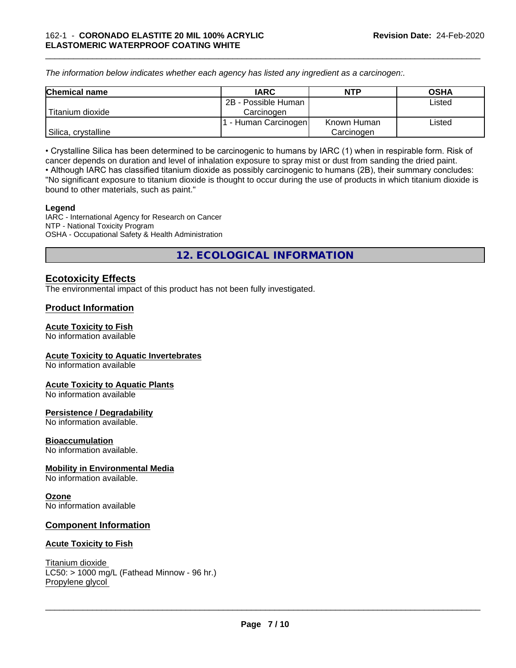*The information below indicateswhether each agency has listed any ingredient as a carcinogen:.*

| <b>Chemical name</b> | <b>IARC</b>          | <b>NTP</b>  | <b>OSHA</b> |
|----------------------|----------------------|-------------|-------------|
|                      | 2B - Possible Human  |             | Listed      |
| Titanium dioxide     | Carcinogen           |             |             |
|                      | r - Human Carcinogen | Known Human | Listed      |
| Silica, crystalline  |                      | Carcinogen  |             |

\_\_\_\_\_\_\_\_\_\_\_\_\_\_\_\_\_\_\_\_\_\_\_\_\_\_\_\_\_\_\_\_\_\_\_\_\_\_\_\_\_\_\_\_\_\_\_\_\_\_\_\_\_\_\_\_\_\_\_\_\_\_\_\_\_\_\_\_\_\_\_\_\_\_\_\_\_\_\_\_\_\_\_\_\_\_\_\_\_\_\_\_\_

• Crystalline Silica has been determined to be carcinogenic to humans by IARC (1) when in respirable form. Risk of cancer depends on duration and level of inhalation exposure to spray mist or dust from sanding the dried paint.• Although IARC has classified titanium dioxide as possibly carcinogenic to humans (2B), their summary concludes: "No significant exposure to titanium dioxide is thought to occur during the use of products in which titanium dioxide is bound to other materials, such as paint."

#### **Legend**

IARC - International Agency for Research on Cancer NTP - National Toxicity Program OSHA - Occupational Safety & Health Administration

**12. ECOLOGICAL INFORMATION**

## **Ecotoxicity Effects**

The environmental impact of this product has not been fully investigated.

## **Product Information**

## **Acute Toxicity to Fish**

No information available

## **Acute Toxicity to Aquatic Invertebrates**

No information available

## **Acute Toxicity to Aquatic Plants**

No information available

## **Persistence / Degradability**

No information available.

## **Bioaccumulation**

No information available.

## **Mobility in Environmental Media**

No information available.

## **Ozone**

No information available

## **Component Information**

## **Acute Toxicity to Fish**

Titanium dioxide  $LC50:$  > 1000 mg/L (Fathead Minnow - 96 hr.) Propylene glycol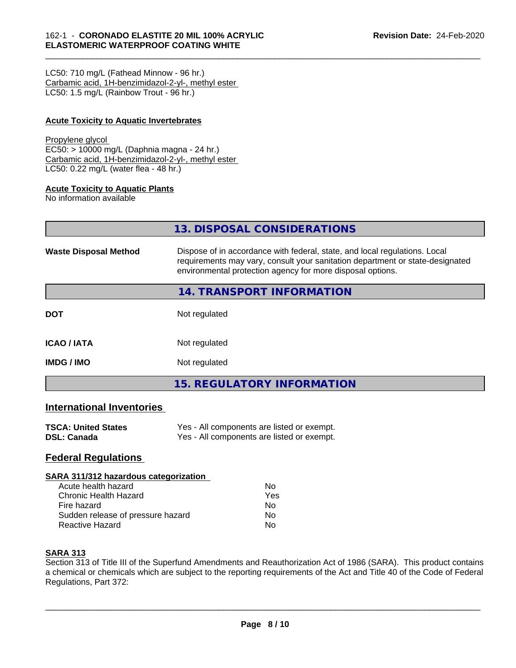LC50: 710 mg/L (Fathead Minnow - 96 hr.) Carbamic acid, 1H-benzimidazol-2-yl-, methyl ester LC50: 1.5 mg/L (Rainbow Trout - 96 hr.)

## **Acute Toxicity to Aquatic Invertebrates**

#### Propylene glycol

EC50: > 10000 mg/L (Daphnia magna - 24 hr.) Carbamic acid, 1H-benzimidazol-2-yl-, methyl ester LC50: 0.22 mg/L (water flea - 48 hr.)

## **Acute Toxicity to Aquatic Plants**

No information available

|                              | 13. DISPOSAL CONSIDERATIONS                                                                                                                                                                                               |
|------------------------------|---------------------------------------------------------------------------------------------------------------------------------------------------------------------------------------------------------------------------|
| <b>Waste Disposal Method</b> | Dispose of in accordance with federal, state, and local regulations. Local<br>requirements may vary, consult your sanitation department or state-designated<br>environmental protection agency for more disposal options. |
|                              | 14. TRANSPORT INFORMATION                                                                                                                                                                                                 |
| DOT                          | Not regulated                                                                                                                                                                                                             |
| ICAO / IATA                  | Not regulated                                                                                                                                                                                                             |

**IMDG / IMO** Not regulated

**15. REGULATORY INFORMATION**

## **International Inventories**

| <b>TSCA: United States</b> | Yes - All components are listed or exempt. |
|----------------------------|--------------------------------------------|
| <b>DSL: Canada</b>         | Yes - All components are listed or exempt. |

## **Federal Regulations**

#### **SARA 311/312 hazardous categorization**

| Acute health hazard               | N٥  |  |
|-----------------------------------|-----|--|
| Chronic Health Hazard             | Yes |  |
| Fire hazard                       | N٥  |  |
| Sudden release of pressure hazard | N٥  |  |
| Reactive Hazard                   | N٥  |  |

## **SARA 313**

Section 313 of Title III of the Superfund Amendments and Reauthorization Act of 1986 (SARA). This product contains a chemical or chemicals which are subject to the reporting requirements of the Act and Title 40 of the Code of Federal Regulations, Part 372: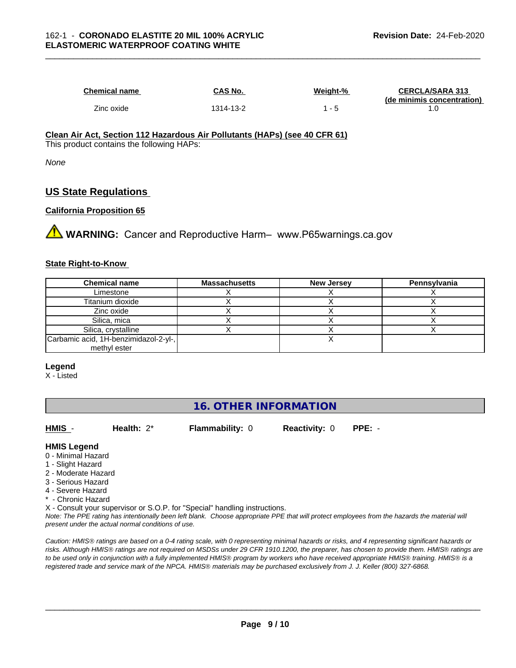| <b>Chemical name</b> | CAS No.   | Weight-% | <b>CERCLA/SARA 313</b><br>(de minimis concentration) |
|----------------------|-----------|----------|------------------------------------------------------|
| Zinc oxide           | 1314-13-2 |          |                                                      |

#### **Clean Air Act,Section 112 Hazardous Air Pollutants (HAPs) (see 40 CFR 61)** This product contains the following HAPs:

*None*

## **US State Regulations**

## **California Proposition 65**

**AVIMARNING:** Cancer and Reproductive Harm– www.P65warnings.ca.gov

## **State Right-to-Know**

| <b>Chemical name</b>                  | <b>Massachusetts</b> | <b>New Jersey</b> | Pennsylvania |
|---------------------------------------|----------------------|-------------------|--------------|
| Limestone                             |                      |                   |              |
| Titanium dioxide                      |                      |                   |              |
| Zinc oxide                            |                      |                   |              |
| Silica, mica                          |                      |                   |              |
| Silica, crystalline                   |                      |                   |              |
| Carbamic acid, 1H-benzimidazol-2-yl-, |                      |                   |              |
| methyl ester                          |                      |                   |              |

## **Legend**

X - Listed

## **16. OTHER INFORMATION**

**HMIS** - **Health:** 2\* **Flammability:** 0 **Reactivity:** 0 **PPE:** -

 $\overline{\phantom{a}}$  ,  $\overline{\phantom{a}}$  ,  $\overline{\phantom{a}}$  ,  $\overline{\phantom{a}}$  ,  $\overline{\phantom{a}}$  ,  $\overline{\phantom{a}}$  ,  $\overline{\phantom{a}}$  ,  $\overline{\phantom{a}}$  ,  $\overline{\phantom{a}}$  ,  $\overline{\phantom{a}}$  ,  $\overline{\phantom{a}}$  ,  $\overline{\phantom{a}}$  ,  $\overline{\phantom{a}}$  ,  $\overline{\phantom{a}}$  ,  $\overline{\phantom{a}}$  ,  $\overline{\phantom{a}}$ 

## **HMIS Legend**

- 0 Minimal Hazard
- 1 Slight Hazard
- 2 Moderate Hazard
- 3 Serious Hazard
- 4 Severe Hazard
- **Chronic Hazard**
- X Consult your supervisor or S.O.P. for "Special" handling instructions.

*Note: The PPE rating has intentionally been left blank. Choose appropriate PPE that will protect employees from the hazards the material will present under the actual normal conditions of use.*

*Caution: HMISÒ ratings are based on a 0-4 rating scale, with 0 representing minimal hazards or risks, and 4 representing significant hazards or risks. Although HMISÒ ratings are not required on MSDSs under 29 CFR 1910.1200, the preparer, has chosen to provide them. HMISÒ ratings are to be used only in conjunction with a fully implemented HMISÒ program by workers who have received appropriate HMISÒ training. HMISÒ is a registered trade and service mark of the NPCA. HMISÒ materials may be purchased exclusively from J. J. Keller (800) 327-6868.*